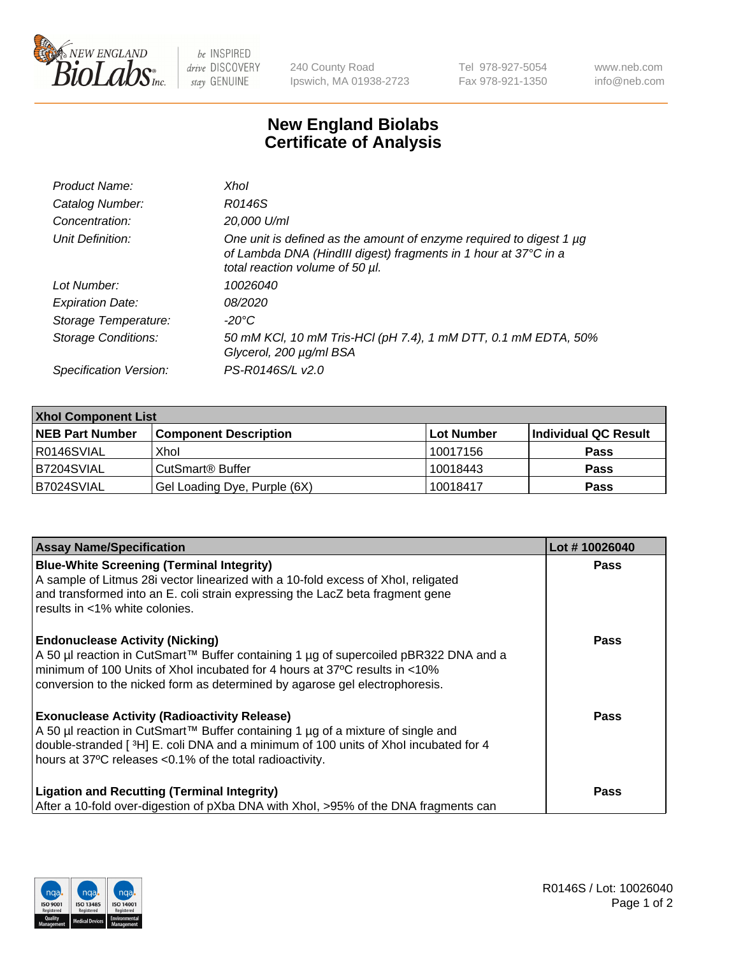

 $be$  INSPIRED drive DISCOVERY stay GENUINE

240 County Road Ipswich, MA 01938-2723 Tel 978-927-5054 Fax 978-921-1350 www.neb.com info@neb.com

## **New England Biolabs Certificate of Analysis**

| Product Name:              | Xhol                                                                                                                                                                      |
|----------------------------|---------------------------------------------------------------------------------------------------------------------------------------------------------------------------|
| Catalog Number:            | R0146S                                                                                                                                                                    |
| Concentration:             | 20,000 U/ml                                                                                                                                                               |
| Unit Definition:           | One unit is defined as the amount of enzyme required to digest 1 µg<br>of Lambda DNA (HindIII digest) fragments in 1 hour at 37°C in a<br>total reaction volume of 50 µl. |
| Lot Number:                | 10026040                                                                                                                                                                  |
| <b>Expiration Date:</b>    | 08/2020                                                                                                                                                                   |
| Storage Temperature:       | -20°C                                                                                                                                                                     |
| <b>Storage Conditions:</b> | 50 mM KCl, 10 mM Tris-HCl (pH 7.4), 1 mM DTT, 0.1 mM EDTA, 50%<br>Glycerol, 200 µg/ml BSA                                                                                 |
| Specification Version:     | PS-R0146S/L v2.0                                                                                                                                                          |

| <b>Xhol Component List</b> |                              |             |                      |  |  |
|----------------------------|------------------------------|-------------|----------------------|--|--|
| <b>NEB Part Number</b>     | <b>Component Description</b> | ∣Lot Number | Individual QC Result |  |  |
| R0146SVIAL                 | Xhol                         | 10017156    | <b>Pass</b>          |  |  |
| IB7204SVIAL                | CutSmart® Buffer             | 10018443    | <b>Pass</b>          |  |  |
| B7024SVIAL                 | Gel Loading Dye, Purple (6X) | 10018417    | <b>Pass</b>          |  |  |

| <b>Assay Name/Specification</b>                                                                                                                                                                                                                                                           | Lot #10026040 |
|-------------------------------------------------------------------------------------------------------------------------------------------------------------------------------------------------------------------------------------------------------------------------------------------|---------------|
| <b>Blue-White Screening (Terminal Integrity)</b><br>A sample of Litmus 28i vector linearized with a 10-fold excess of Xhol, religated<br>and transformed into an E. coli strain expressing the LacZ beta fragment gene                                                                    | <b>Pass</b>   |
| results in <1% white colonies.<br><b>Endonuclease Activity (Nicking)</b>                                                                                                                                                                                                                  | <b>Pass</b>   |
| A 50 µl reaction in CutSmart™ Buffer containing 1 µg of supercoiled pBR322 DNA and a<br>minimum of 100 Units of Xhol incubated for 4 hours at 37°C results in <10%<br>conversion to the nicked form as determined by agarose gel electrophoresis.                                         |               |
| <b>Exonuclease Activity (Radioactivity Release)</b><br>A 50 µl reaction in CutSmart™ Buffer containing 1 µg of a mixture of single and<br>double-stranded [3H] E. coli DNA and a minimum of 100 units of Xhol incubated for 4<br>hours at 37°C releases <0.1% of the total radioactivity. | <b>Pass</b>   |
| <b>Ligation and Recutting (Terminal Integrity)</b><br>After a 10-fold over-digestion of pXba DNA with Xhol, >95% of the DNA fragments can                                                                                                                                                 | <b>Pass</b>   |